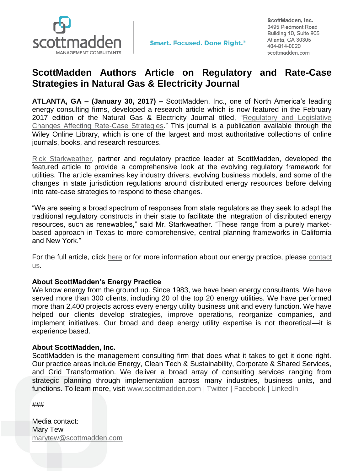

**Smart. Focused. Done Right.**<sup>®</sup>

ScottMadden, Inc. 3495 Piedmont Road Building 10, Suite 805 Atlanta, GA 30305 404-814-0020 scottmadden.com

## **ScottMadden Authors Article on Regulatory and Rate-Case Strategies in Natural Gas & Electricity Journal**

**ATLANTA, GA – (January 30, 2017) –** ScottMadden, Inc., one of North America's leading energy consulting firms, developed a research article which is now featured in the February 2017 edition of the Natural Gas & Electricity Journal titled, "Regulatory and Legislative [Changes Affecting Rate-Case Strategies.](http://onlinelibrary.wiley.com/doi/10.1002/gas.2017.33.issue-7/issuetoc)" This journal is a publication available through the Wiley Online Library, which is one of the largest and most authoritative collections of online journals, books, and research resources.

[Rick Starkweather,](http://www.scottmadden.com/person/rick-starkweather/) partner and regulatory practice leader at ScottMadden, developed the featured article to provide a comprehensive look at the evolving regulatory framework for utilities. The article examines key industry drivers, evolving business models, and some of the changes in state jurisdiction regulations around distributed energy resources before delving into rate-case strategies to respond to these changes.

"We are seeing a broad spectrum of responses from state regulators as they seek to adapt the traditional regulatory constructs in their state to facilitate the integration of distributed energy resources, such as renewables," said Mr. Starkweather. "These range from a purely marketbased approach in Texas to more comprehensive, central planning frameworks in California and New York."

For the full article, click [here](http://onlinelibrary.wiley.com/doi/10.1002/gas.21960/full) or for more information about our energy practice, please contact [us.](http://www.scottmadden.com/page/17/contact-us.html)

## **About ScottMadden's Energy Practice**

We know energy from the ground up. Since 1983, we have been energy consultants. We have served more than 300 clients, including 20 of the top 20 energy utilities. We have performed more than 2,400 projects across every energy utility business unit and every function. We have helped our clients develop strategies, improve operations, reorganize companies, and implement initiatives. Our broad and deep energy utility expertise is not theoretical—it is experience based.

## **About ScottMadden, Inc.**

ScottMadden is the management consulting firm that does what it takes to get it done right. Our practice areas include Energy, Clean Tech & Sustainability, Corporate & Shared Services, and Grid Transformation. We deliver a broad array of consulting services ranging from strategic planning through implementation across many industries, business units, and functions. To learn more, visit [www.scottmadden.com](http://www.scottmadden.com/) | [Twitter](https://twitter.com/SM_Energy) | [Facebook](http://www.facebook.com/#!/ScottMaddenInc) | [LinkedIn](http://www.linkedin.com/company/37992)

###

Media contact: Mary Tew [marytew@scottmadden.com](mailto:marytew@scottmadden.com)